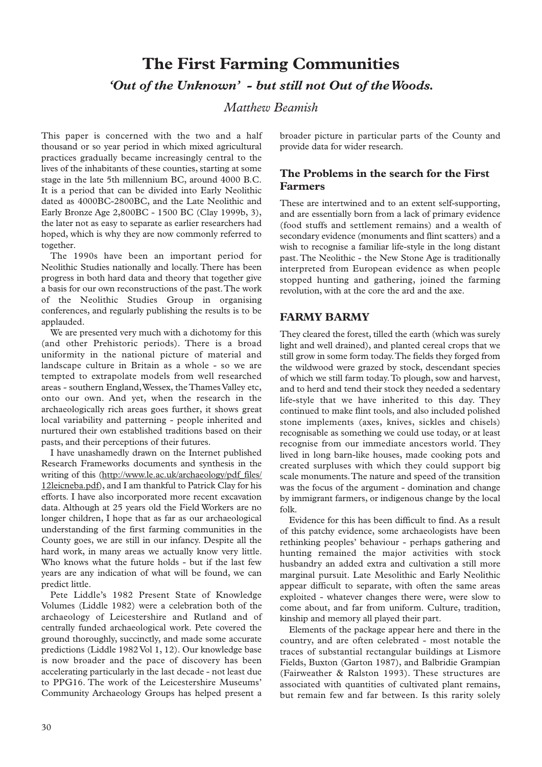# **The First Farming Communities** *'Out of the Unknown' - but still not Out of the Woods.*

## *Matthew Beamish*

This paper is concerned with the two and a half thousand or so year period in which mixed agricultural practices gradually became increasingly central to the lives of the inhabitants of these counties, starting at some stage in the late 5th millennium BC, around 4000 B.C. It is a period that can be divided into Early Neolithic dated as 4000BC-2800BC, and the Late Neolithic and Early Bronze Age 2,800BC - 1500 BC (Clay 1999b, 3), the later not as easy to separate as earlier researchers had hoped, which is why they are now commonly referred to together.

The 1990s have been an important period for Neolithic Studies nationally and locally. There has been progress in both hard data and theory that together give a basis for our own reconstructions of the past.The work of the Neolithic Studies Group in organising conferences, and regularly publishing the results is to be applauded.

We are presented very much with a dichotomy for this (and other Prehistoric periods). There is a broad uniformity in the national picture of material and landscape culture in Britain as a whole - so we are tempted to extrapolate models from well researched areas - southern England,Wessex, the Thames Valley etc, onto our own. And yet, when the research in the archaeologically rich areas goes further, it shows great local variability and patterning - people inherited and nurtured their own established traditions based on their pasts, and their perceptions of their futures.

I have unashamedly drawn on the Internet published Research Frameworks documents and synthesis in the writing of this (http://www.le.ac.uk/archaeology/pdf\_files/ 12leicneba.pdf), and I am thankful to Patrick Clay for his efforts. I have also incorporated more recent excavation data. Although at 25 years old the Field Workers are no longer children, I hope that as far as our archaeological understanding of the first farming communities in the County goes, we are still in our infancy. Despite all the hard work, in many areas we actually know very little. Who knows what the future holds - but if the last few years are any indication of what will be found, we can predict little.

Pete Liddle's 1982 Present State of Knowledge Volumes (Liddle 1982) were a celebration both of the archaeology of Leicestershire and Rutland and of centrally funded archaeological work. Pete covered the ground thoroughly, succinctly, and made some accurate predictions (Liddle 1982 Vol 1, 12). Our knowledge base is now broader and the pace of discovery has been accelerating particularly in the last decade - not least due to PPG16. The work of the Leicestershire Museums' Community Archaeology Groups has helped present a

broader picture in particular parts of the County and provide data for wider research.

## **The Problems in the search for the First Farmers**

These are intertwined and to an extent self-supporting, and are essentially born from a lack of primary evidence (food stuffs and settlement remains) and a wealth of secondary evidence (monuments and flint scatters) and a wish to recognise a familiar life-style in the long distant past. The Neolithic - the New Stone Age is traditionally interpreted from European evidence as when people stopped hunting and gathering, joined the farming revolution, with at the core the ard and the axe.

## **FARMY BARMY**

They cleared the forest, tilled the earth (which was surely light and well drained), and planted cereal crops that we still grow in some form today.The fields they forged from the wildwood were grazed by stock, descendant species of which we still farm today.To plough, sow and harvest, and to herd and tend their stock they needed a sedentary life-style that we have inherited to this day. They continued to make flint tools, and also included polished stone implements (axes, knives, sickles and chisels) recognisable as something we could use today, or at least recognise from our immediate ancestors world. They lived in long barn-like houses, made cooking pots and created surpluses with which they could support big scale monuments.The nature and speed of the transition was the focus of the argument - domination and change by immigrant farmers, or indigenous change by the local folk.

Evidence for this has been difficult to find. As a result of this patchy evidence, some archaeologists have been rethinking peoples' behaviour - perhaps gathering and hunting remained the major activities with stock husbandry an added extra and cultivation a still more marginal pursuit. Late Mesolithic and Early Neolithic appear difficult to separate, with often the same areas exploited - whatever changes there were, were slow to come about, and far from uniform. Culture, tradition, kinship and memory all played their part.

Elements of the package appear here and there in the country, and are often celebrated - most notable the traces of substantial rectangular buildings at Lismore Fields, Buxton (Garton 1987), and Balbridie Grampian (Fairweather & Ralston 1993). These structures are associated with quantities of cultivated plant remains, but remain few and far between. Is this rarity solely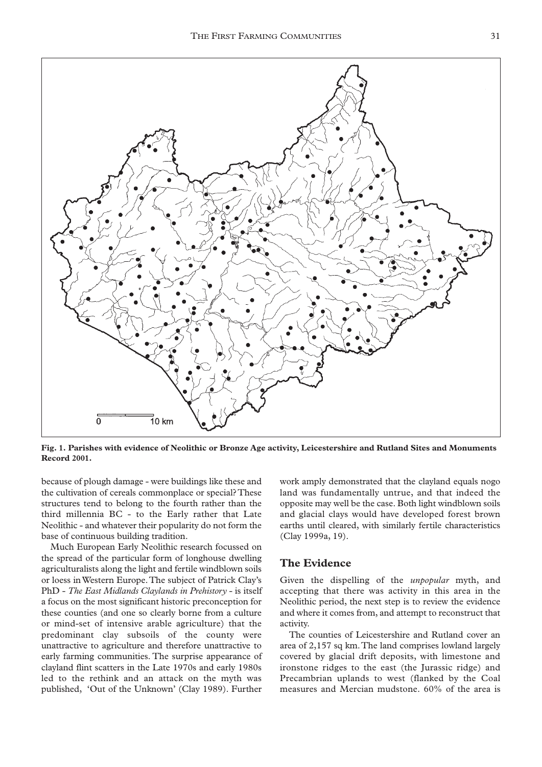

**Fig. 1. Parishes with evidence of Neolithic or Bronze Age activity, Leicestershire and Rutland Sites and Monuments Record 2001.**

because of plough damage - were buildings like these and the cultivation of cereals commonplace or special? These structures tend to belong to the fourth rather than the third millennia BC - to the Early rather that Late Neolithic - and whatever their popularity do not form the base of continuous building tradition.

Much European Early Neolithic research focussed on the spread of the particular form of longhouse dwelling agriculturalists along the light and fertile windblown soils or loess in Western Europe.The subject of Patrick Clay's PhD - *The East Midlands Claylands in Prehistory* - is itself a focus on the most significant historic preconception for these counties (and one so clearly borne from a culture or mind-set of intensive arable agriculture) that the predominant clay subsoils of the county were unattractive to agriculture and therefore unattractive to early farming communities. The surprise appearance of clayland flint scatters in the Late 1970s and early 1980s led to the rethink and an attack on the myth was published, 'Out of the Unknown' (Clay 1989). Further

work amply demonstrated that the clayland equals nogo land was fundamentally untrue, and that indeed the opposite may well be the case. Both light windblown soils and glacial clays would have developed forest brown earths until cleared, with similarly fertile characteristics (Clay 1999a, 19).

### **The Evidence**

Given the dispelling of the *unpopular* myth, and accepting that there was activity in this area in the Neolithic period, the next step is to review the evidence and where it comes from, and attempt to reconstruct that activity.

The counties of Leicestershire and Rutland cover an area of 2,157 sq km.The land comprises lowland largely covered by glacial drift deposits, with limestone and ironstone ridges to the east (the Jurassic ridge) and Precambrian uplands to west (flanked by the Coal measures and Mercian mudstone. 60% of the area is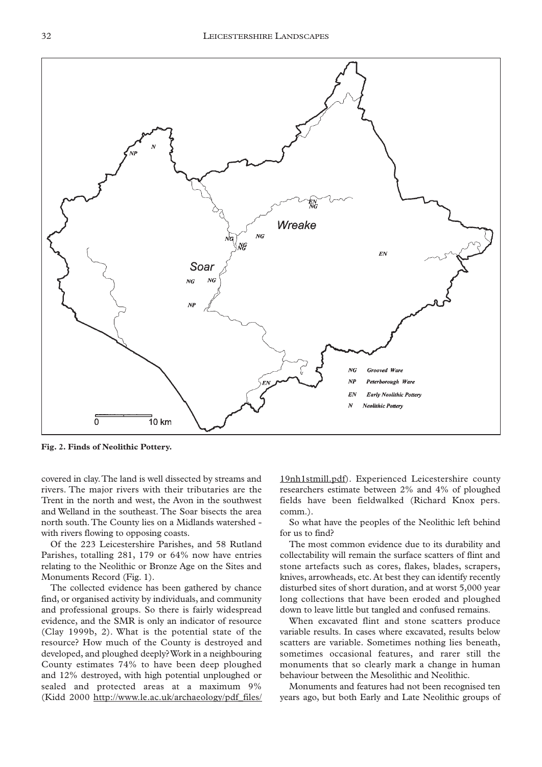

**Fig. 2. Finds of Neolithic Pottery.**

covered in clay.The land is well dissected by streams and rivers. The major rivers with their tributaries are the Trent in the north and west, the Avon in the southwest and Welland in the southeast. The Soar bisects the area north south.The County lies on a Midlands watershed with rivers flowing to opposing coasts.

Of the 223 Leicestershire Parishes, and 58 Rutland Parishes, totalling 281, 179 or 64% now have entries relating to the Neolithic or Bronze Age on the Sites and Monuments Record (Fig. 1).

The collected evidence has been gathered by chance find, or organised activity by individuals, and community and professional groups. So there is fairly widespread evidence, and the SMR is only an indicator of resource (Clay 1999b, 2). What is the potential state of the resource? How much of the County is destroyed and developed, and ploughed deeply? Work in a neighbouring County estimates 74% to have been deep ploughed and 12% destroyed, with high potential unploughed or sealed and protected areas at a maximum 9% (Kidd 2000 http://www.le.ac.uk/archaeology/pdf\_files/

19nh1stmill.pdf). Experienced Leicestershire county researchers estimate between 2% and 4% of ploughed fields have been fieldwalked (Richard Knox pers. comm.).

So what have the peoples of the Neolithic left behind for us to find?

The most common evidence due to its durability and collectability will remain the surface scatters of flint and stone artefacts such as cores, flakes, blades, scrapers, knives, arrowheads, etc. At best they can identify recently disturbed sites of short duration, and at worst 5,000 year long collections that have been eroded and ploughed down to leave little but tangled and confused remains.

When excavated flint and stone scatters produce variable results. In cases where excavated, results below scatters are variable. Sometimes nothing lies beneath, sometimes occasional features, and rarer still the monuments that so clearly mark a change in human behaviour between the Mesolithic and Neolithic.

Monuments and features had not been recognised ten years ago, but both Early and Late Neolithic groups of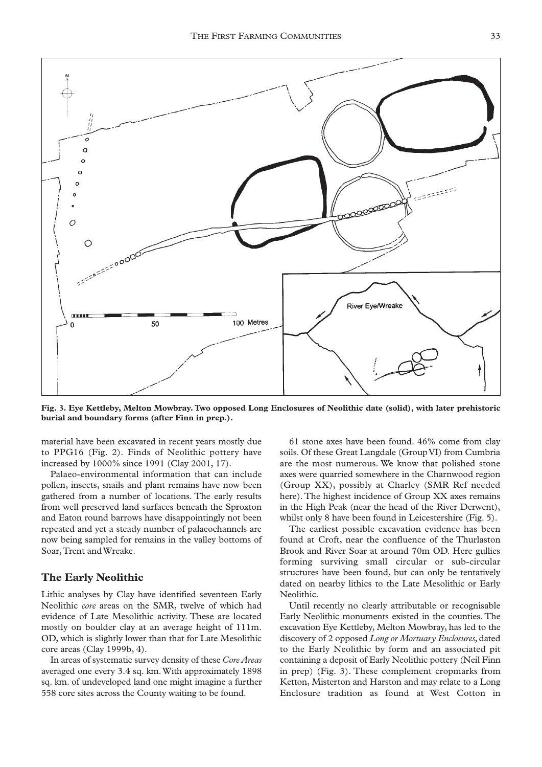

**Fig. 3. Eye Kettleby, Melton Mowbray. Two opposed Long Enclosures of Neolithic date (solid), with later prehistoric burial and boundary forms (after Finn in prep.).**

material have been excavated in recent years mostly due to PPG16 (Fig. 2). Finds of Neolithic pottery have increased by 1000% since 1991 (Clay 2001, 17).

Palaeo-environmental information that can include pollen, insects, snails and plant remains have now been gathered from a number of locations. The early results from well preserved land surfaces beneath the Sproxton and Eaton round barrows have disappointingly not been repeated and yet a steady number of palaeochannels are now being sampled for remains in the valley bottoms of Soar,Trent and Wreake.

#### **The Early Neolithic**

Lithic analyses by Clay have identified seventeen Early Neolithic *core* areas on the SMR, twelve of which had evidence of Late Mesolithic activity. These are located mostly on boulder clay at an average height of 111m. OD, which is slightly lower than that for Late Mesolithic core areas (Clay 1999b, 4).

In areas of systematic survey density of these *Core Areas* averaged one every 3.4 sq. km.With approximately 1898 sq. km. of undeveloped land one might imagine a further 558 core sites across the County waiting to be found.

61 stone axes have been found. 46% come from clay soils. Of these Great Langdale (Group VI) from Cumbria are the most numerous. We know that polished stone axes were quarried somewhere in the Charnwood region (Group XX), possibly at Charley (SMR Ref needed here). The highest incidence of Group XX axes remains in the High Peak (near the head of the River Derwent), whilst only 8 have been found in Leicestershire (Fig. 5).

The earliest possible excavation evidence has been found at Croft, near the confluence of the Thurlaston Brook and River Soar at around 70m OD. Here gullies forming surviving small circular or sub-circular structures have been found, but can only be tentatively dated on nearby lithics to the Late Mesolithic or Early Neolithic.

Until recently no clearly attributable or recognisable Early Neolithic monuments existed in the counties. The excavation Eye Kettleby, Melton Mowbray, has led to the discovery of 2 opposed *Long or Mortuary Enclosures,*dated to the Early Neolithic by form and an associated pit containing a deposit of Early Neolithic pottery (Neil Finn in prep) (Fig. 3). These complement cropmarks from Ketton, Misterton and Harston and may relate to a Long Enclosure tradition as found at West Cotton in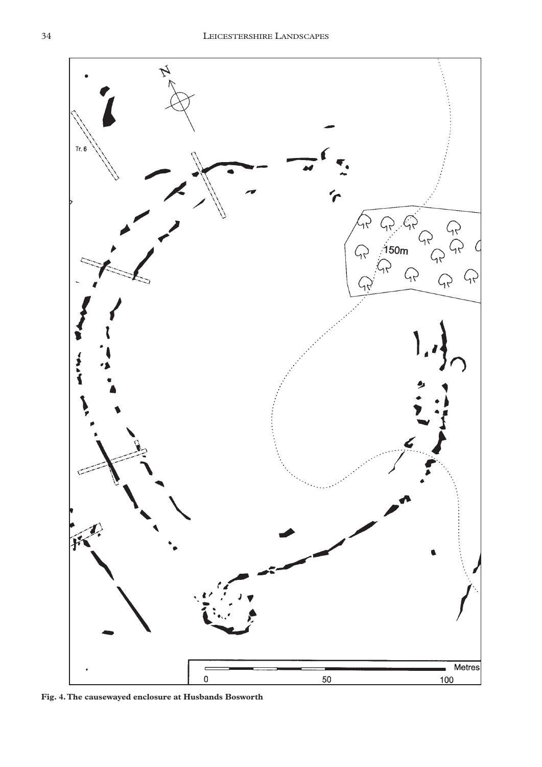

**Fig. 4.The causewayed enclosure at Husbands Bosworth**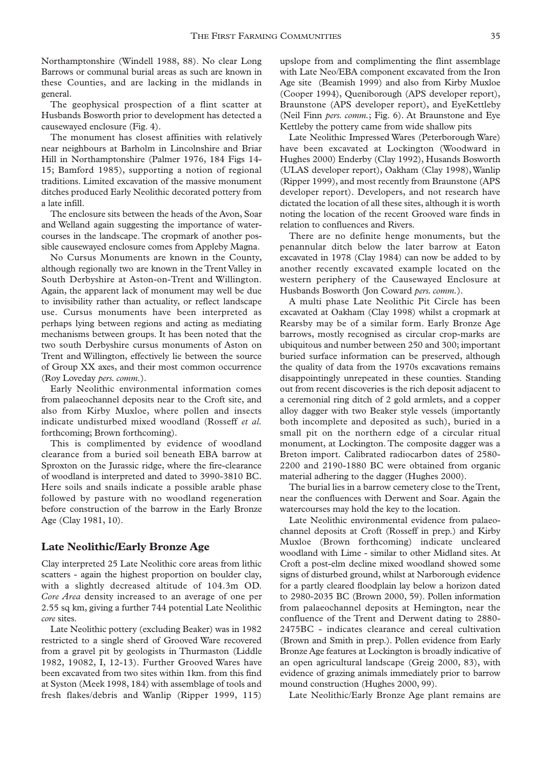Northamptonshire (Windell 1988, 88). No clear Long Barrows or communal burial areas as such are known in these Counties, and are lacking in the midlands in general.

The geophysical prospection of a flint scatter at Husbands Bosworth prior to development has detected a causewayed enclosure (Fig. 4).

The monument has closest affinities with relatively near neighbours at Barholm in Lincolnshire and Briar Hill in Northamptonshire (Palmer 1976, 184 Figs 14- 15; Bamford 1985), supporting a notion of regional traditions. Limited excavation of the massive monument ditches produced Early Neolithic decorated pottery from a late infill.

The enclosure sits between the heads of the Avon, Soar and Welland again suggesting the importance of watercourses in the landscape. The cropmark of another possible causewayed enclosure comes from Appleby Magna.

No Cursus Monuments are known in the County, although regionally two are known in the Trent Valley in South Derbyshire at Aston-on-Trent and Willington. Again, the apparent lack of monument may well be due to invisibility rather than actuality, or reflect landscape use. Cursus monuments have been interpreted as perhaps lying between regions and acting as mediating mechanisms between groups. It has been noted that the two south Derbyshire cursus monuments of Aston on Trent and Willington, effectively lie between the source of Group XX axes, and their most common occurrence (Roy Loveday *pers. comm.*).

Early Neolithic environmental information comes from palaeochannel deposits near to the Croft site, and also from Kirby Muxloe, where pollen and insects indicate undisturbed mixed woodland (Rosseff *et al.* forthcoming; Brown forthcoming).

This is complimented by evidence of woodland clearance from a buried soil beneath EBA barrow at Sproxton on the Jurassic ridge, where the fire-clearance of woodland is interpreted and dated to 3990-3810 BC. Here soils and snails indicate a possible arable phase followed by pasture with no woodland regeneration before construction of the barrow in the Early Bronze Age (Clay 1981, 10).

#### **Late Neolithic/Early Bronze Age**

Clay interpreted 25 Late Neolithic core areas from lithic scatters - again the highest proportion on boulder clay, with a slightly decreased altitude of 104.3m OD. *Core Area* density increased to an average of one per 2.55 sq km, giving a further 744 potential Late Neolithic *core* sites.

Late Neolithic pottery (excluding Beaker) was in 1982 restricted to a single sherd of Grooved Ware recovered from a gravel pit by geologists in Thurmaston (Liddle 1982, 19082, I, 12-13). Further Grooved Wares have been excavated from two sites within 1km. from this find at Syston (Meek 1998, 184) with assemblage of tools and fresh flakes/debris and Wanlip (Ripper 1999, 115) upslope from and complimenting the flint assemblage with Late Neo/EBA component excavated from the Iron Age site (Beamish 1999) and also from Kirby Muxloe (Cooper 1994), Queniborough (APS developer report), Braunstone (APS developer report), and EyeKettleby (Neil Finn *pers. comm.*; Fig. 6). At Braunstone and Eye Kettleby the pottery came from wide shallow pits

Late Neolithic Impressed Wares (Peterborough Ware) have been excavated at Lockington (Woodward in Hughes 2000) Enderby (Clay 1992), Husands Bosworth (ULAS developer report), Oakham (Clay 1998), Wanlip (Ripper 1999), and most recently from Braunstone (APS developer report). Developers, and not research have dictated the location of all these sites, although it is worth noting the location of the recent Grooved ware finds in relation to confluences and Rivers.

There are no definite henge monuments, but the penannular ditch below the later barrow at Eaton excavated in 1978 (Clay 1984) can now be added to by another recently excavated example located on the western periphery of the Causewayed Enclosure at Husbands Bosworth (Jon Coward *pers. comm.*).

A multi phase Late Neolithic Pit Circle has been excavated at Oakham (Clay 1998) whilst a cropmark at Rearsby may be of a similar form. Early Bronze Age barrows, mostly recognised as circular crop-marks are ubiquitous and number between 250 and 300; important buried surface information can be preserved, although the quality of data from the 1970s excavations remains disappointingly unrepeated in these counties. Standing out from recent discoveries is the rich deposit adjacent to a ceremonial ring ditch of 2 gold armlets, and a copper alloy dagger with two Beaker style vessels (importantly both incomplete and deposited as such), buried in a small pit on the northern edge of a circular ritual monument, at Lockington. The composite dagger was a Breton import. Calibrated radiocarbon dates of 2580- 2200 and 2190-1880 BC were obtained from organic material adhering to the dagger (Hughes 2000).

The burial lies in a barrow cemetery close to the Trent, near the confluences with Derwent and Soar. Again the watercourses may hold the key to the location.

Late Neolithic environmental evidence from palaeochannel deposits at Croft (Rosseff in prep.) and Kirby Muxloe (Brown forthcoming) indicate uncleared woodland with Lime - similar to other Midland sites. At Croft a post-elm decline mixed woodland showed some signs of disturbed ground, whilst at Narborough evidence for a partly cleared floodplain lay below a horizon dated to 2980-2035 BC (Brown 2000, 59). Pollen information from palaeochannel deposits at Hemington, near the confluence of the Trent and Derwent dating to 2880- 2475BC - indicates clearance and cereal cultivation (Brown and Smith in prep.). Pollen evidence from Early Bronze Age features at Lockington is broadly indicative of an open agricultural landscape (Greig 2000, 83), with evidence of grazing animals immediately prior to barrow mound construction (Hughes 2000, 99).

Late Neolithic/Early Bronze Age plant remains are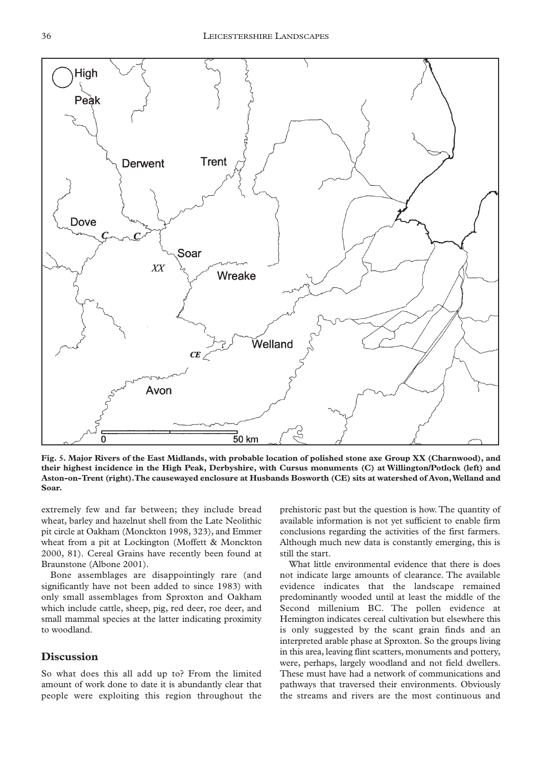

**Fig. 5. Major Rivers of the East Midlands, with probable location of polished stone axe Group XX (Charnwood), and their highest incidence in the High Peak, Derbyshire, with Cursus monuments (C) at Willington/Potlock (left) and Aston-on-Trent (right).The causewayed enclosure at Husbands Bosworth (CE) sits at watershed of Avon,Welland and Soar.**

extremely few and far between; they include bread wheat, barley and hazelnut shell from the Late Neolithic pit circle at Oakham (Monckton 1998, 323), and Emmer wheat from a pit at Lockington (Moffett & Monckton 2000, 81). Cereal Grains have recently been found at Braunstone (Albone 2001).

Bone assemblages are disappointingly rare (and significantly have not been added to since 1983) with only small assemblages from Sproxton and Oakham which include cattle, sheep, pig, red deer, roe deer, and small mammal species at the latter indicating proximity to woodland.

#### **Discussion**

So what does this all add up to? From the limited amount of work done to date it is abundantly clear that people were exploiting this region throughout the

prehistoric past but the question is how. The quantity of available information is not yet sufficient to enable firm conclusions regarding the activities of the first farmers. Although much new data is constantly emerging, this is still the start.

What little environmental evidence that there is does not indicate large amounts of clearance. The available evidence indicates that the landscape remained predominantly wooded until at least the middle of the Second millenium BC. The pollen evidence at Hemington indicates cereal cultivation but elsewhere this is only suggested by the scant grain finds and an interpreted arable phase at Sproxton. So the groups living in this area, leaving flint scatters, monuments and pottery, were, perhaps, largely woodland and not field dwellers. These must have had a network of communications and pathways that traversed their environments. Obviously the streams and rivers are the most continuous and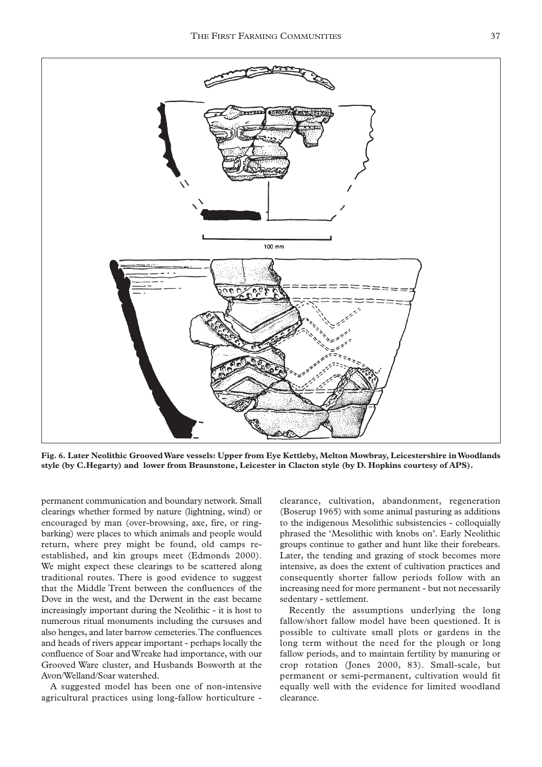

**Fig. 6. Later Neolithic Grooved Ware vessels: Upper from Eye Kettleby, Melton Mowbray, Leicestershire in Woodlands style (by C.Hegarty) and lower from Braunstone, Leicester in Clacton style (by D. Hopkins courtesy of APS).**

permanent communication and boundary network. Small clearings whether formed by nature (lightning, wind) or encouraged by man (over-browsing, axe, fire, or ringbarking) were places to which animals and people would return, where prey might be found, old camps reestablished, and kin groups meet (Edmonds 2000). We might expect these clearings to be scattered along traditional routes. There is good evidence to suggest that the Middle Trent between the confluences of the Dove in the west, and the Derwent in the east became increasingly important during the Neolithic - it is host to numerous ritual monuments including the cursuses and also henges, and later barrow cemeteries.The confluences and heads of rivers appear important - perhaps locally the confluence of Soar and Wreake had importance, with our Grooved Ware cluster, and Husbands Bosworth at the Avon/Welland/Soar watershed.

A suggested model has been one of non-intensive agricultural practices using long-fallow horticulture -

clearance, cultivation, abandonment, regeneration (Boserup 1965) with some animal pasturing as additions to the indigenous Mesolithic subsistencies - colloquially phrased the 'Mesolithic with knobs on'. Early Neolithic groups continue to gather and hunt like their forebears. Later, the tending and grazing of stock becomes more intensive, as does the extent of cultivation practices and consequently shorter fallow periods follow with an increasing need for more permanent - but not necessarily sedentary - settlement.

Recently the assumptions underlying the long fallow/short fallow model have been questioned. It is possible to cultivate small plots or gardens in the long term without the need for the plough or long fallow periods, and to maintain fertility by manuring or crop rotation (Jones 2000, 83). Small-scale, but permanent or semi-permanent, cultivation would fit equally well with the evidence for limited woodland clearance.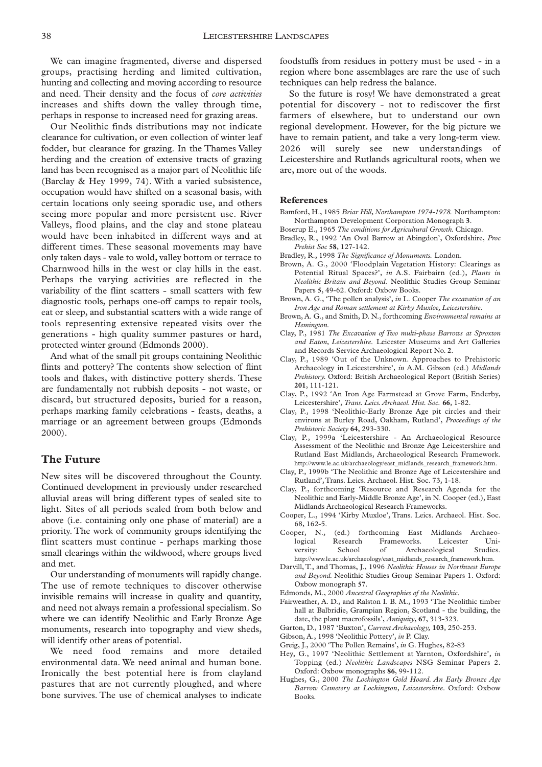We can imagine fragmented, diverse and dispersed groups, practising herding and limited cultivation, hunting and collecting and moving according to resource and need. Their density and the focus of *core activities* increases and shifts down the valley through time, perhaps in response to increased need for grazing areas.

Our Neolithic finds distributions may not indicate clearance for cultivation, or even collection of winter leaf fodder, but clearance for grazing. In the Thames Valley herding and the creation of extensive tracts of grazing land has been recognised as a major part of Neolithic life (Barclay & Hey 1999, 74). With a varied subsistence, occupation would have shifted on a seasonal basis, with certain locations only seeing sporadic use, and others seeing more popular and more persistent use. River Valleys, flood plains, and the clay and stone plateau would have been inhabited in different ways and at different times. These seasonal movements may have only taken days - vale to wold, valley bottom or terrace to Charnwood hills in the west or clay hills in the east. Perhaps the varying activities are reflected in the variability of the flint scatters - small scatters with few diagnostic tools, perhaps one-off camps to repair tools, eat or sleep, and substantial scatters with a wide range of tools representing extensive repeated visits over the generations - high quality summer pastures or hard, protected winter ground (Edmonds 2000).

And what of the small pit groups containing Neolithic flints and pottery? The contents show selection of flint tools and flakes, with distinctive pottery sherds. These are fundamentally not rubbish deposits - not waste, or discard, but structured deposits, buried for a reason, perhaps marking family celebrations - feasts, deaths, a marriage or an agreement between groups (Edmonds 2000).

### **The Future**

New sites will be discovered throughout the County. Continued development in previously under researched alluvial areas will bring different types of sealed site to light. Sites of all periods sealed from both below and above (i.e. containing only one phase of material) are a priority. The work of community groups identifying the flint scatters must continue - perhaps marking those small clearings within the wildwood, where groups lived and met.

Our understanding of monuments will rapidly change. The use of remote techniques to discover otherwise invisible remains will increase in quality and quantity, and need not always remain a professional specialism. So where we can identify Neolithic and Early Bronze Age monuments, research into topography and view sheds, will identify other areas of potential.

We need food remains and more detailed environmental data. We need animal and human bone. Ironically the best potential here is from clayland pastures that are not currently ploughed, and where bone survives. The use of chemical analyses to indicate foodstuffs from residues in pottery must be used - in a region where bone assemblages are rare the use of such techniques can help redress the balance.

So the future is rosy! We have demonstrated a great potential for discovery - not to rediscover the first farmers of elsewhere, but to understand our own regional development. However, for the big picture we have to remain patient, and take a very long-term view. 2026 will surely see new understandings of Leicestershire and Rutlands agricultural roots, when we are, more out of the woods.

#### **References**

- Bamford, H., 1985 *Briar Hill, Northampton 1974-1978.* Northampton: Northampton Development Corporation Monograph **3**.
- Boserup E., 1965 *The conditions for Agricultural Growth.* Chicago.
- Bradley, R., 1992 'An Oval Barrow at Abingdon', Oxfordshire, *Proc Prehist Soc* **58**, 127-142.
- Bradley, R., 1998 *The Significance of Monuments.* London.
- Brown, A. G., 2000 'Floodplain Vegetation History: Clearings as Potential Ritual Spaces?', *in* A.S. Fairbairn (ed.), *Plants in Neolithic Britain and Beyond.* Neolithic Studies Group Seminar Papers **5**, 49-62. Oxford: Oxbow Books.
- Brown, A. G., 'The pollen analysis', *in* L. Cooper *The excavation of an Iron Age and Roman settlement at Kirby Muxloe, Leicestershire.*
- Brown, A. G., and Smith, D. N., forthcoming *Environmental remains at Hemington.*
- Clay, P., 1981 *The Excavation of Two multi-phase Barrows at Sproxton and Eaton, Leicestershire.* Leicester Museums and Art Galleries and Records Service Archaeological Report No. **2**.
- Clay, P., 1989 'Out of the Unknown. Approaches to Prehistoric Archaeology in Leicestershire', *in* A.M. Gibson (ed.) *Midlands Prehistory.* Oxford: British Archaeological Report (British Series) **201**, 111-121.
- Clay, P., 1992 'An Iron Age Farmstead at Grove Farm, Enderby, Leicestershire', *Trans. Leics.Archaeol. Hist. Soc.* **66**, 1-82.
- Clay, P., 1998 'Neolithic-Early Bronze Age pit circles and their environs at Burley Road, Oakham, Rutland', *Proceedings of the Prehistoric Society* **64**, 293-330.
- Clay, P., 1999a 'Leicestershire An Archaeological Resource Assessment of the Neolithic and Bronze Age Leicestershire and Rutland East Midlands, Archaeological Research Framework. http://www.le.ac.uk/archaeology/east\_midlands\_research\_framework.htm.
- Clay, P., 1999b 'The Neolithic and Bronze Age of Leicestershire and Rutland',Trans. Leics. Archaeol. Hist. Soc. 73, 1-18.
- Clay, P., forthcoming 'Resource and Research Agenda for the Neolithic and Early-Middle Bronze Age', in N. Cooper (ed.), East Midlands Archaeological Research Frameworks.
- Cooper, L., 1994 'Kirby Muxloe', Trans. Leics. Archaeol. Hist. Soc.
- 68, 162-5.<br>Cooper, N., (ed.) forthcoming East Midlands Archaeological Research Frameworks. Leicester University: School of Archaeological Studies. http://www.le.ac.uk/archaeology/east\_midlands\_research\_framework.htm.
- Darvill, T., and Thomas, J., 1996 *Neolithic Houses in Northwest Europe and Beyond.* Neolithic Studies Group Seminar Papers 1. Oxford: Oxbow monograph **57**.
- Edmonds, M., 2000 *Ancestral Geographies of the Neolithic.*
- Fairweather, A. D., and Ralston I. B. M., 1993 'The Neolithic timber hall at Balbridie, Grampian Region, Scotland - the building, the date, the plant macrofossils', *Antiquity*, **67**, 313-323.
- Garton, D., 1987 'Buxton', *Current Archaeology,* **103**, 250-253.
- Gibson, A., 1998 'Neolithic Pottery', *in* P. Clay.
- Greig, J., 2000 'The Pollen Remains', *in* G. Hughes, 82-83
- Hey, G., 1997 'Neolithic Settlement at Yarnton, Oxfordshire', *in* Topping (ed.) *Neolithic Landscapes* NSG Seminar Papers 2. Oxford: Oxbow monographs **86**, 99-112.
- Hughes, G., 2000 *The Lockington Gold Hoard. An Early Bronze Age Barrow Cemetery at Lockington, Leicestershire.* Oxford: Oxbow Books.